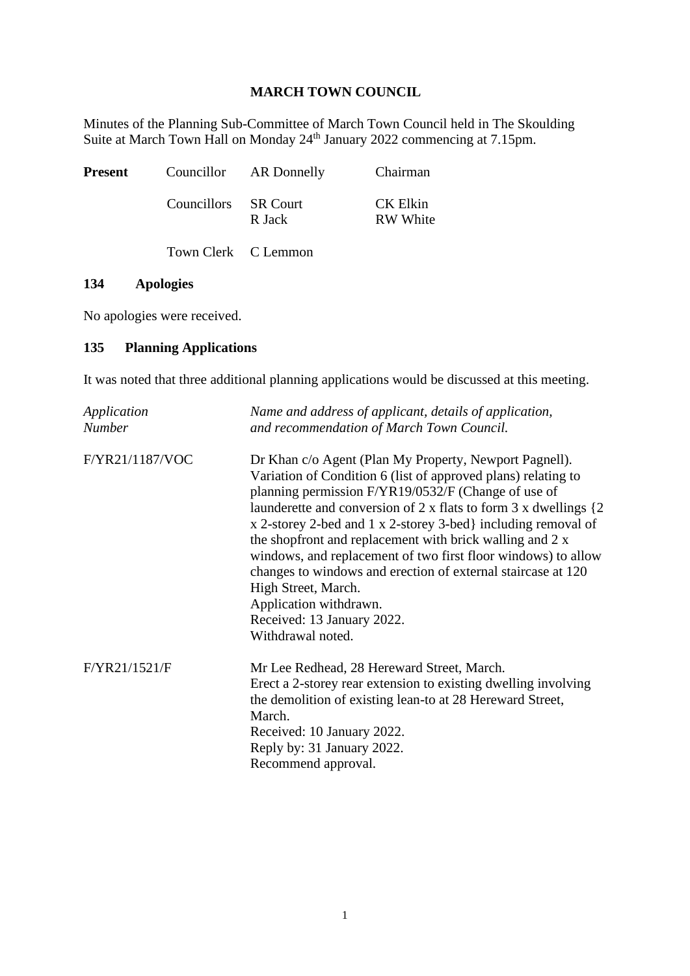## **MARCH TOWN COUNCIL**

Minutes of the Planning Sub-Committee of March Town Council held in The Skoulding Suite at March Town Hall on Monday 24<sup>th</sup> January 2022 commencing at 7.15pm.

| Present |                      | Councillor AR Donnelly | Chairman                    |
|---------|----------------------|------------------------|-----------------------------|
|         | Councillors SR Court | R Jack                 | CK Elkin<br><b>RW</b> White |
|         | Town Clerk C Lemmon  |                        |                             |

## **134 Apologies**

No apologies were received.

## **135 Planning Applications**

It was noted that three additional planning applications would be discussed at this meeting.

| Application<br><b>Number</b> | Name and address of applicant, details of application,<br>and recommendation of March Town Council.                                                                                                                                                                                                                                                                                                                                                                                                                                              |
|------------------------------|--------------------------------------------------------------------------------------------------------------------------------------------------------------------------------------------------------------------------------------------------------------------------------------------------------------------------------------------------------------------------------------------------------------------------------------------------------------------------------------------------------------------------------------------------|
| F/YR21/1187/VOC              | Dr Khan c/o Agent (Plan My Property, Newport Pagnell).<br>Variation of Condition 6 (list of approved plans) relating to<br>planning permission F/YR19/0532/F (Change of use of<br>x 2-storey 2-bed and 1 x 2-storey 3-bed} including removal of<br>the shopfront and replacement with brick walling and 2 x<br>windows, and replacement of two first floor windows) to allow<br>changes to windows and erection of external staircase at 120<br>High Street, March.<br>Application withdrawn.<br>Received: 13 January 2022.<br>Withdrawal noted. |
| F/YR21/1521/F                | Mr Lee Redhead, 28 Hereward Street, March.<br>Erect a 2-storey rear extension to existing dwelling involving<br>the demolition of existing lean-to at 28 Hereward Street,<br>March.<br>Received: 10 January 2022.<br>Reply by: 31 January 2022.<br>Recommend approval.                                                                                                                                                                                                                                                                           |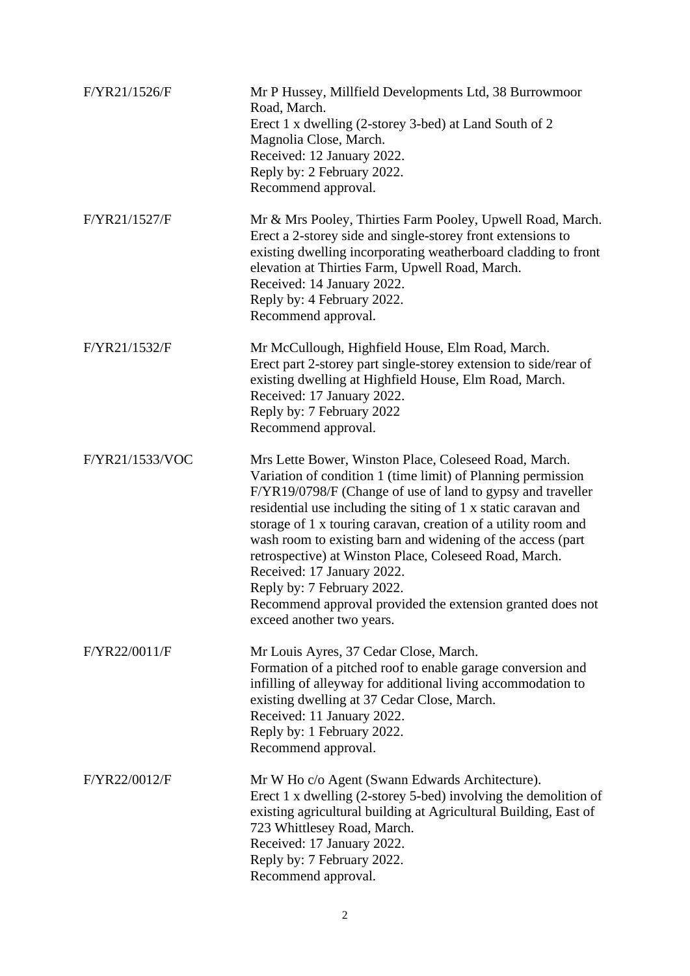| F/YR21/1526/F   | Mr P Hussey, Millfield Developments Ltd, 38 Burrowmoor<br>Road, March.<br>Erect 1 x dwelling (2-storey 3-bed) at Land South of 2<br>Magnolia Close, March.<br>Received: 12 January 2022.<br>Reply by: 2 February 2022.<br>Recommend approval.                                                                                                                                                                                                                                                                                                                                                            |
|-----------------|----------------------------------------------------------------------------------------------------------------------------------------------------------------------------------------------------------------------------------------------------------------------------------------------------------------------------------------------------------------------------------------------------------------------------------------------------------------------------------------------------------------------------------------------------------------------------------------------------------|
| F/YR21/1527/F   | Mr & Mrs Pooley, Thirties Farm Pooley, Upwell Road, March.<br>Erect a 2-storey side and single-storey front extensions to<br>existing dwelling incorporating weatherboard cladding to front<br>elevation at Thirties Farm, Upwell Road, March.<br>Received: 14 January 2022.<br>Reply by: 4 February 2022.<br>Recommend approval.                                                                                                                                                                                                                                                                        |
| F/YR21/1532/F   | Mr McCullough, Highfield House, Elm Road, March.<br>Erect part 2-storey part single-storey extension to side/rear of<br>existing dwelling at Highfield House, Elm Road, March.<br>Received: 17 January 2022.<br>Reply by: 7 February 2022<br>Recommend approval.                                                                                                                                                                                                                                                                                                                                         |
| F/YR21/1533/VOC | Mrs Lette Bower, Winston Place, Coleseed Road, March.<br>Variation of condition 1 (time limit) of Planning permission<br>F/YR19/0798/F (Change of use of land to gypsy and traveller<br>residential use including the siting of 1 x static caravan and<br>storage of 1 x touring caravan, creation of a utility room and<br>wash room to existing barn and widening of the access (part<br>retrospective) at Winston Place, Coleseed Road, March.<br>Received: 17 January 2022.<br>Reply by: 7 February 2022.<br>Recommend approval provided the extension granted does not<br>exceed another two years. |
| F/YR22/0011/F   | Mr Louis Ayres, 37 Cedar Close, March.<br>Formation of a pitched roof to enable garage conversion and<br>infilling of alleyway for additional living accommodation to<br>existing dwelling at 37 Cedar Close, March.<br>Received: 11 January 2022.<br>Reply by: 1 February 2022.<br>Recommend approval.                                                                                                                                                                                                                                                                                                  |
| F/YR22/0012/F   | Mr W Ho c/o Agent (Swann Edwards Architecture).<br>Erect 1 x dwelling (2-storey 5-bed) involving the demolition of<br>existing agricultural building at Agricultural Building, East of<br>723 Whittlesey Road, March.<br>Received: 17 January 2022.<br>Reply by: 7 February 2022.<br>Recommend approval.                                                                                                                                                                                                                                                                                                 |